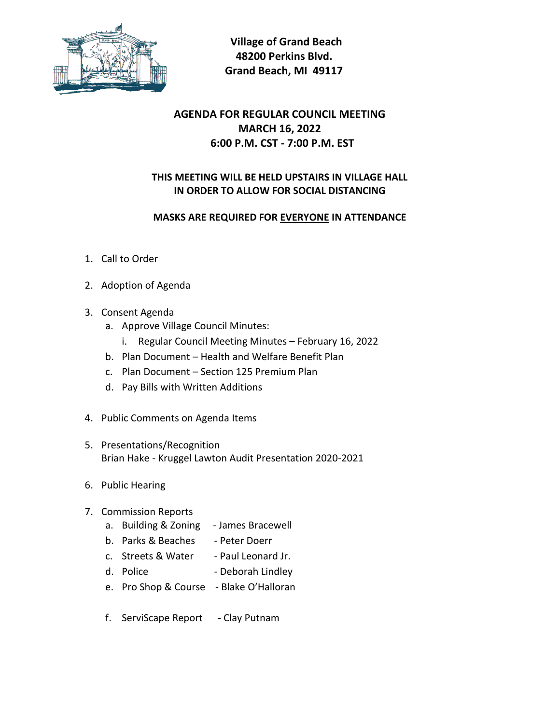

 **Village of Grand Beach 48200 Perkins Blvd. Grand Beach, MI 49117**

# **AGENDA FOR REGULAR COUNCIL MEETING MARCH 16, 2022 6:00 P.M. CST - 7:00 P.M. EST**

### **THIS MEETING WILL BE HELD UPSTAIRS IN VILLAGE HALL IN ORDER TO ALLOW FOR SOCIAL DISTANCING**

#### **MASKS ARE REQUIRED FOR EVERYONE IN ATTENDANCE**

- 1. Call to Order
- 2. Adoption of Agenda
- 3. Consent Agenda
	- a. Approve Village Council Minutes:
		- i. Regular Council Meeting Minutes February 16, 2022
	- b. Plan Document Health and Welfare Benefit Plan
	- c. Plan Document Section 125 Premium Plan
	- d. Pay Bills with Written Additions
- 4. Public Comments on Agenda Items
- 5. Presentations/Recognition Brian Hake - Kruggel Lawton Audit Presentation 2020-2021
- 6. Public Hearing
- 7. Commission Reports
	- a. Building & Zoning James Bracewell
	- b. Parks & Beaches Peter Doerr
	- c. Streets & Water Paul Leonard Jr.
	- d. Police Deborah Lindley
	- e. Pro Shop & Course Blake O'Halloran
	- f. ServiScape Report Clay Putnam